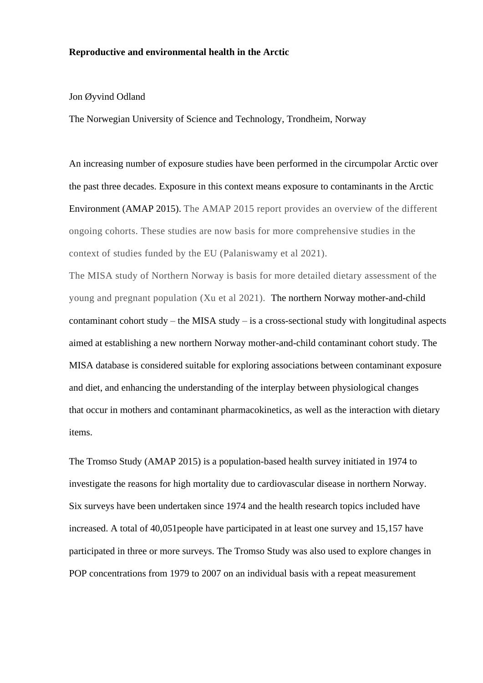## **Reproductive and environmental health in the Arctic**

## Jon Øyvind Odland

The Norwegian University of Science and Technology, Trondheim, Norway

An increasing number of exposure studies have been performed in the circumpolar Arctic over the past three decades. Exposure in this context means exposure to contaminants in the Arctic Environment (AMAP 2015). The AMAP 2015 report provides an overview of the different ongoing cohorts. These studies are now basis for more comprehensive studies in the context of studies funded by the EU (Palaniswamy et al 2021).

The MISA study of Northern Norway is basis for more detailed dietary assessment of the young and pregnant population (Xu et al 2021). The northern Norway mother-and-child contaminant cohort study – the MISA study – is a cross-sectional study with longitudinal aspects aimed at establishing a new northern Norway mother-and-child contaminant cohort study. The MISA database is considered suitable for exploring associations between contaminant exposure and diet, and enhancing the understanding of the interplay between physiological changes that occur in mothers and contaminant pharmacokinetics, as well as the interaction with dietary items.

The Tromso Study (AMAP 2015) is a population-based health survey initiated in 1974 to investigate the reasons for high mortality due to cardiovascular disease in northern Norway. Six surveys have been undertaken since 1974 and the health research topics included have increased. A total of 40,051people have participated in at least one survey and 15,157 have participated in three or more surveys. The Tromso Study was also used to explore changes in POP concentrations from 1979 to 2007 on an individual basis with a repeat measurement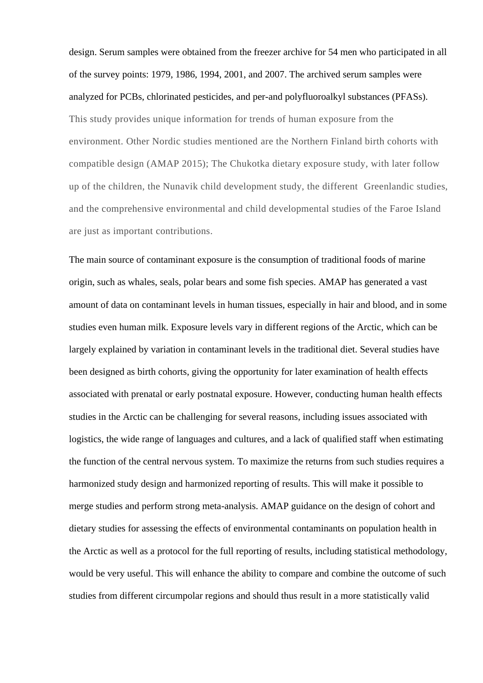design. Serum samples were obtained from the freezer archive for 54 men who participated in all of the survey points: 1979, 1986, 1994, 2001, and 2007. The archived serum samples were analyzed for PCBs, chlorinated pesticides, and per-and polyfluoroalkyl substances (PFASs). This study provides unique information for trends of human exposure from the environment. Other Nordic studies mentioned are the Northern Finland birth cohorts with compatible design (AMAP 2015); The Chukotka dietary exposure study, with later follow up of the children, the Nunavik child development study, the different Greenlandic studies, and the comprehensive environmental and child developmental studies of the Faroe Island are just as important contributions.

The main source of contaminant exposure is the consumption of traditional foods of marine origin, such as whales, seals, polar bears and some fish species. AMAP has generated a vast amount of data on contaminant levels in human tissues, especially in hair and blood, and in some studies even human milk. Exposure levels vary in different regions of the Arctic, which can be largely explained by variation in contaminant levels in the traditional diet. Several studies have been designed as birth cohorts, giving the opportunity for later examination of health effects associated with prenatal or early postnatal exposure. However, conducting human health effects studies in the Arctic can be challenging for several reasons, including issues associated with logistics, the wide range of languages and cultures, and a lack of qualified staff when estimating the function of the central nervous system. To maximize the returns from such studies requires a harmonized study design and harmonized reporting of results. This will make it possible to merge studies and perform strong meta-analysis. AMAP guidance on the design of cohort and dietary studies for assessing the effects of environmental contaminants on population health in the Arctic as well as a protocol for the full reporting of results, including statistical methodology, would be very useful. This will enhance the ability to compare and combine the outcome of such studies from different circumpolar regions and should thus result in a more statistically valid